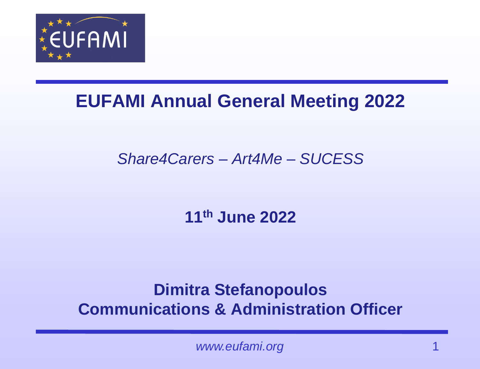

## **EUFAMI Annual General Meeting 2022**

### *Share4Carers – Art4Me – SUCESS*

**11th June 2022**

### **Dimitra Stefanopoulos Communications & Administration Officer**

www.eufami.org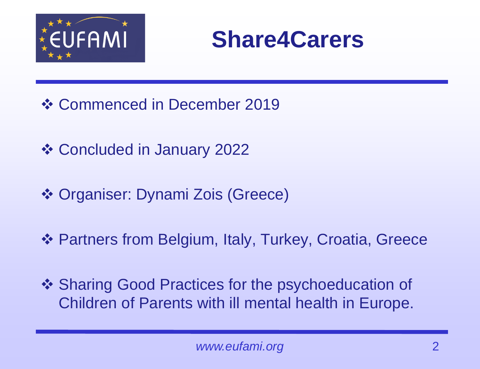



- ❖ Commenced in December 2019
- ❖ Concluded in January 2022
- ❖ Organiser: Dynami Zois (Greece)
- ❖ Partners from Belgium, Italy, Turkey, Croatia, Greece
- ❖ Sharing Good Practices for the psychoeducation of Children of Parents with ill mental health in Europe.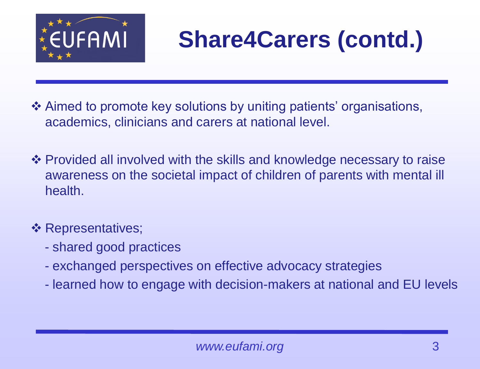

# **Share4Carers (contd.)**

- ❖ Aimed to promote key solutions by uniting patients' organisations, academics, clinicians and carers at national level.
- ❖ Provided all involved with the skills and knowledge necessary to raise awareness on the societal impact of children of parents with mental ill health.

#### ❖ Representatives;

- shared good practices
- exchanged perspectives on effective advocacy strategies
- learned how to engage with decision-makers at national and EU levels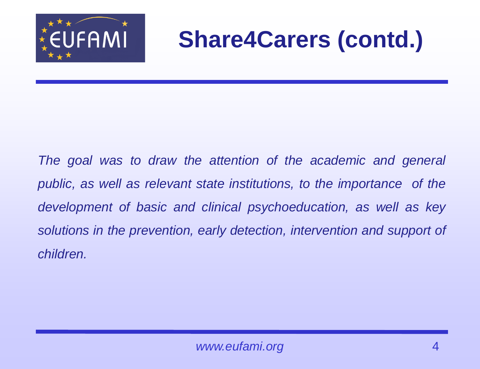

## **Share4Carers (contd.)**

*The goal was to draw the attention of the academic and general public, as well as relevant state institutions, to the importance of the development of basic and clinical psychoeducation, as well as key solutions in the prevention, early detection, intervention and support of children.*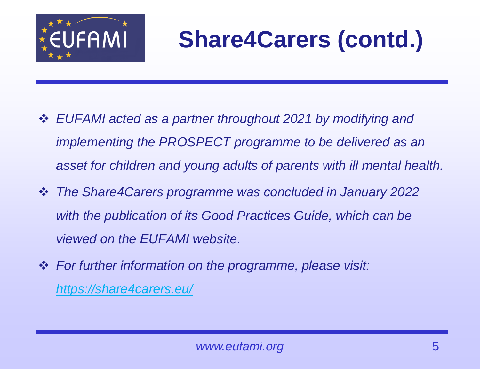

# **Share4Carers (contd.)**

- ❖ *EUFAMI acted as a partner throughout 2021 by modifying and implementing the PROSPECT programme to be delivered as an asset for children and young adults of parents with ill mental health.*
- ❖ *The Share4Carers programme was concluded in January 2022 with the publication of its Good Practices Guide, which can be viewed on the EUFAMI website.*
- ❖ *For further information on the programme, please visit: <https://share4carers.eu/>*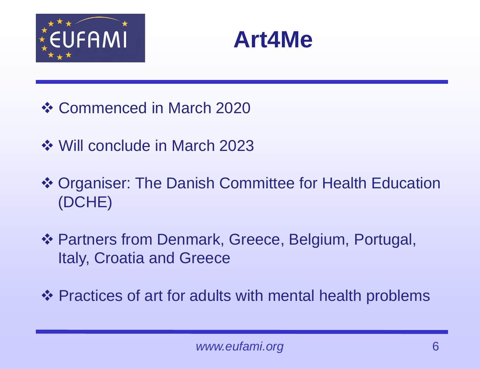



- ❖ Commenced in March 2020
- ❖ Will conclude in March 2023
- ❖ Organiser: The Danish Committee for Health Education (DCHE)
- ❖ Partners from Denmark, Greece, Belgium, Portugal, Italy, Croatia and Greece
- ❖ Practices of art for adults with mental health problems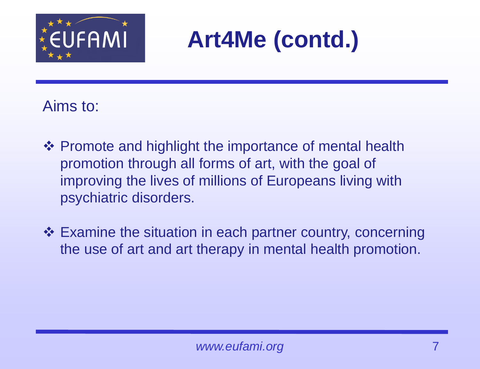

## **Art4Me (contd.)**

#### Aims to:

- ❖ Promote and highlight the importance of mental health promotion through all forms of art, with the goal of improving the lives of millions of Europeans living with psychiatric disorders.
- ❖ Examine the situation in each partner country, concerning the use of art and art therapy in mental health promotion.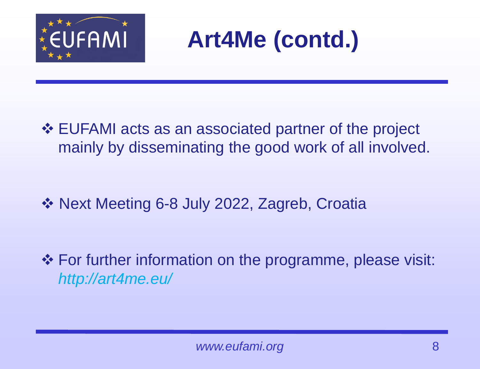



❖ EUFAMI acts as an associated partner of the project mainly by disseminating the good work of all involved.

❖ Next Meeting 6-8 July 2022, Zagreb, Croatia

❖ For further information on the programme, please visit: *http://art4me.eu/*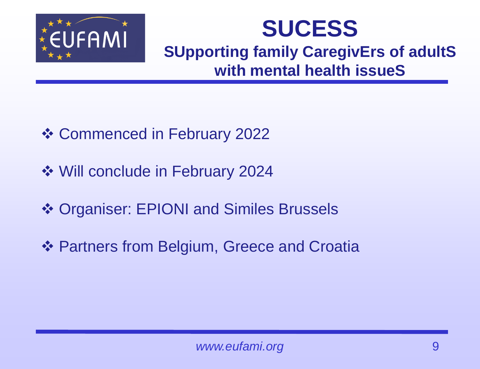

## **SUCESS SUpporting family CaregivErs of adultS with mental health issueS**

- ❖ Commenced in February 2022
- ❖ Will conclude in February 2024
- ❖ Organiser: EPIONI and Similes Brussels
- ❖ Partners from Belgium, Greece and Croatia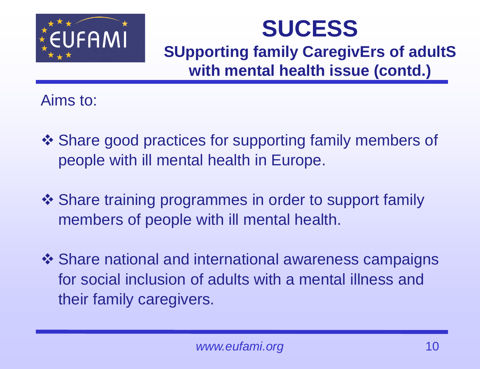

## **SUCESS**

**SUpporting family CaregivErs of adultS with mental health issue (contd.)**

Aims to:

- ❖ Share good practices for supporting family members of people with ill mental health in Europe.
- ❖ Share training programmes in order to support family members of people with ill mental health.
- ❖ Share national and international awareness campaigns for social inclusion of adults with a mental illness and their family caregivers.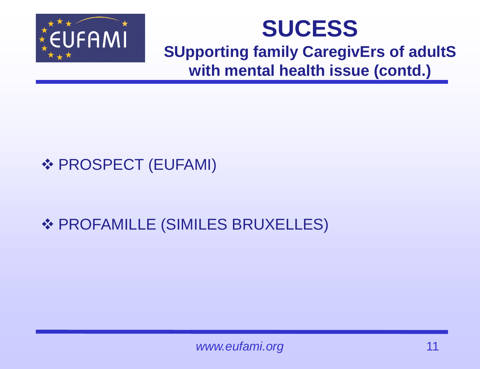

## **SUCESS**

#### **SUpporting family CaregivErs of adultS with mental health issue (contd.)**

### ❖ PROSPECT (EUFAMI)

### ❖ PROFAMILLE (SIMILES BRUXELLES)

*www.eufami.org* 11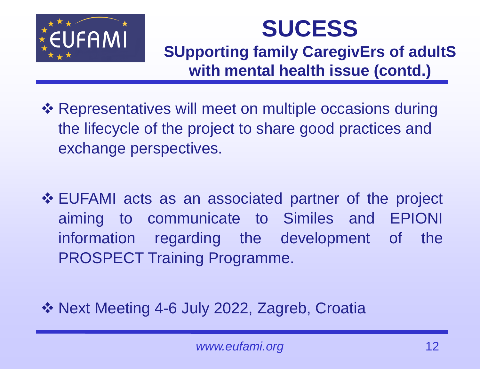

## **SUCESS**

### **SUpporting family CaregivErs of adultS with mental health issue (contd.)**

- ❖ Representatives will meet on multiple occasions during the lifecycle of the project to share good practices and exchange perspectives.
- ❖ EUFAMI acts as an associated partner of the project aiming to communicate to Similes and EPIONI information regarding the development of the PROSPECT Training Programme.
- ❖ Next Meeting 4-6 July 2022, Zagreb, Croatia